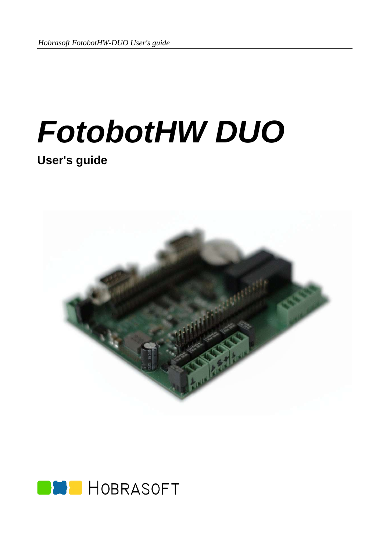# *FotobotHW DUO*

## **User's guide**



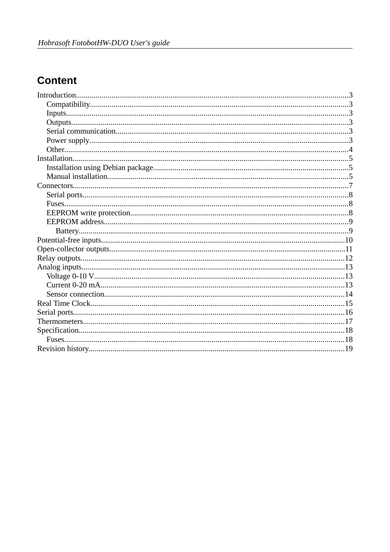## **Content**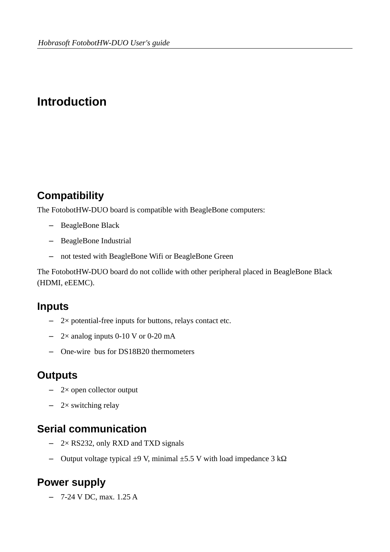# <span id="page-3-5"></span>**Introduction**

## <span id="page-3-4"></span>**Compatibility**

The FotobotHW-DUO board is compatible with BeagleBone computers:

- BeagleBone Black
- BeagleBone Industrial
- not tested with BeagleBone Wifi or BeagleBone Green

The FotobotHW-DUO board do not collide with other peripheral placed in BeagleBone Black (HDMI, eEEMC).

#### <span id="page-3-3"></span>**Inputs**

- 2× potential-free inputs for buttons, relays contact etc.
- $-$  2× analog inputs 0-10 V or 0-20 mA
- One-wire bus for DS18B20 thermometers

#### <span id="page-3-2"></span>**Outputs**

- 2× open collector output
- $-$  2× switching relay

#### <span id="page-3-1"></span>**Serial communication**

- 2× RS232, only RXD and TXD signals
- Output voltage typical ±9 V, minimal ±5.5 V with load impedance 3 kΩ

#### <span id="page-3-0"></span>**Power supply**

– 7-24 V DC, max. 1.25 A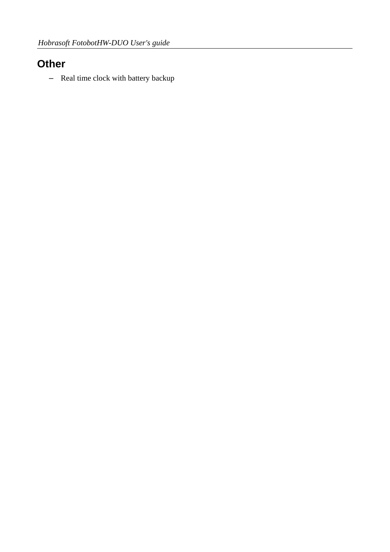## <span id="page-4-0"></span>**Other**

– Real time clock with battery backup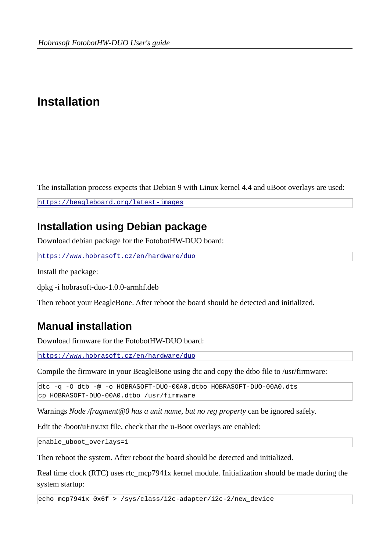# <span id="page-5-2"></span>**Installation**

The installation process expects that Debian 9 with Linux kernel 4.4 and uBoot overlays are used:

<https://beagleboard.org/latest-images>

## <span id="page-5-1"></span>**Installation using Debian package**

Download debian package for the FotobotHW-DUO board:

https://www.hobrasoft.cz/en/hardware/duo

Install the package:

dpkg -i hobrasoft-duo-1.0.0-armhf.deb

Then reboot your BeagleBone. After reboot the board should be detected and initialized.

#### <span id="page-5-0"></span>**Manual installation**

Download firmware for the FotobotHW-DUO board:

https://www.hobrasoft.cz/en/hardware/duo

Compile the firmware in your BeagleBone using dtc and copy the dtbo file to /usr/firmware:

dtc -q -O dtb -@ -o HOBRASOFT-DUO-00A0.dtbo HOBRASOFT-DUO-00A0.dts cp HOBRASOFT-DUO-00A0.dtbo /usr/firmware

Warnings *Node /fragment@0 has a unit name, but no reg property* can be ignored safely.

Edit the /boot/uEnv.txt file, check that the u-Boot overlays are enabled:

enable\_uboot\_overlays=1

Then reboot the system. After reboot the board should be detected and initialized.

Real time clock (RTC) uses rtc\_mcp7941x kernel module. Initialization should be made during the system startup:

echo mcp7941x 0x6f > /sys/class/i2c-adapter/i2c-2/new\_device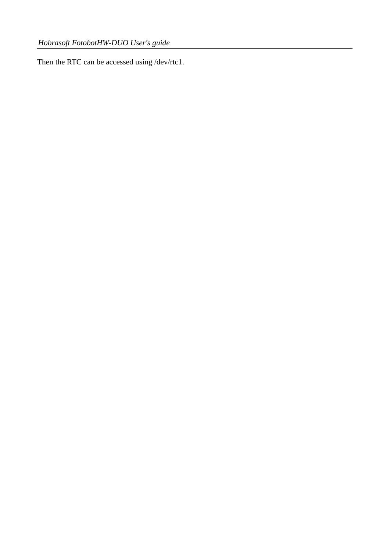Then the RTC can be accessed using /dev/rtc1.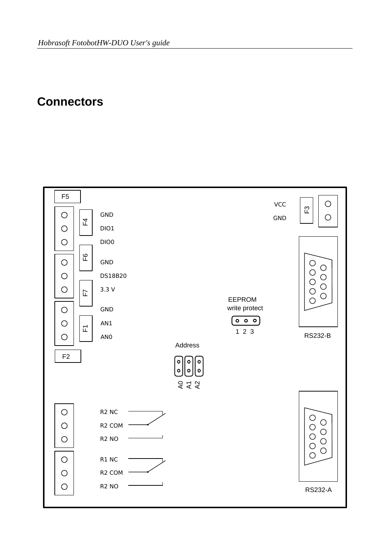## <span id="page-7-0"></span>**Connectors**

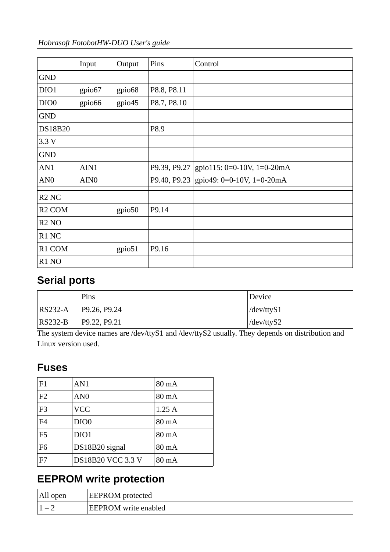| Hobrasoft FotobotHW-DUO User's guide |  |
|--------------------------------------|--|
|--------------------------------------|--|

|                               | Input              | Output             | Pins         | Control                                |
|-------------------------------|--------------------|--------------------|--------------|----------------------------------------|
| <b>GND</b>                    |                    |                    |              |                                        |
| DIO1                          | gpio67             | gpio68             | P8.8, P8.11  |                                        |
| DIO <sub>0</sub>              | gpio <sub>66</sub> | gpio <sub>45</sub> | P8.7, P8.10  |                                        |
| <b>GND</b>                    |                    |                    |              |                                        |
| <b>DS18B20</b>                |                    |                    | P8.9         |                                        |
| 3.3V                          |                    |                    |              |                                        |
| <b>GND</b>                    |                    |                    |              |                                        |
| AN1                           | AIN1               |                    | P9.39, P9.27 | gpio115: 0=0-10V, 1=0-20mA             |
| AN <sub>0</sub>               | AIN <sub>0</sub>   |                    |              | P9.40, P9.23 gpio49: 0=0-10V, 1=0-20mA |
| R <sub>2</sub> N <sub>C</sub> |                    |                    |              |                                        |
| R <sub>2</sub> COM            |                    | gpio <sub>50</sub> | P9.14        |                                        |
| R <sub>2</sub> NO             |                    |                    |              |                                        |
| R1 NC                         |                    |                    |              |                                        |
| R1 COM                        |                    | gpio <sub>51</sub> | P9.16        |                                        |
| R <sub>1</sub> NO             |                    |                    |              |                                        |

## <span id="page-8-2"></span>**Serial ports**

|             | Pins         | Device     |
|-------------|--------------|------------|
| $ RS232-A$  | P9.26, P9.24 | /dev/ttyS1 |
| $ RS232-B $ | P9.22, P9.21 | /dev/ttyS2 |

The system device names are /dev/ttyS1 and /dev/ttyS2 usually. They depends on distribution and Linux version used.

#### <span id="page-8-1"></span>**Fuses**

| F1             | AN <sub>1</sub>          | 80 mA           |
|----------------|--------------------------|-----------------|
| F <sub>2</sub> | AN <sub>0</sub>          | 80 mA           |
| F <sub>3</sub> | <b>VCC</b>               | 1.25A           |
| F <sub>4</sub> | DIO <sub>0</sub>         | $80 \text{ mA}$ |
| F <sub>5</sub> | DIO1                     | $80 \text{ mA}$ |
| F <sub>6</sub> | DS18B20 signal           | 80 mA           |
| F7             | <b>DS18B20 VCC 3.3 V</b> | $80 \text{ mA}$ |

# <span id="page-8-0"></span>**EEPROM write protection**

| All open | <b>EEPROM</b> protected     |
|----------|-----------------------------|
|          | <b>EEPROM</b> write enabled |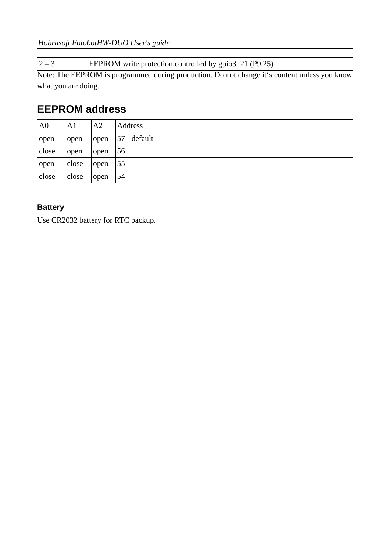$\boxed{2-3}$  EEPROM write protection controlled by gpio3\_21 (P9.25)

Note: The EEPROM is programmed during production. Do not change it's content unless you know what you are doing.

#### <span id="page-9-1"></span>**EEPROM address**

| A <sub>0</sub> | A1    | A <sub>2</sub> | <b>Address</b> |
|----------------|-------|----------------|----------------|
| open           | open  | open           | $57$ - default |
| close          | open  | open           | 56             |
| open           | close | l open         | - 55           |
| close          | close | open           | 54             |

#### <span id="page-9-0"></span>**Battery**

Use CR2032 battery for RTC backup.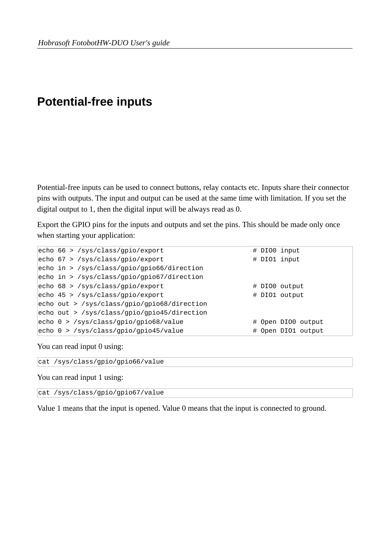## <span id="page-10-0"></span>**Potential-free inputs**

Potential-free inputs can be used to connect buttons, relay contacts etc. Inputs share their connector pins with outputs. The input and output can be used at the same time with limitation. If you set the digital output to 1, then the digital input will be always read as 0.

Export the GPIO pins for the inputs and outputs and set the pins. This should be made only once when starting your application:

|  | echo 66 > /sys/class/gpio/export            |  | # DIO0 input       |
|--|---------------------------------------------|--|--------------------|
|  | echo 67 > /sys/class/gpio/export            |  | # DIO1 input       |
|  | echo in > /sys/class/gpio/gpio66/direction  |  |                    |
|  | echo in > /sys/class/gpio/gpio67/direction  |  |                    |
|  | echo 68 > /sys/class/gpio/export            |  | # DIO0 output      |
|  | echo 45 > /sys/class/gpio/export            |  | # DIO1 output      |
|  | echo out > /sys/class/gpio/gpio68/direction |  |                    |
|  | echo out > /sys/class/gpio/gpio45/direction |  |                    |
|  | echo 0 > /sys/class/gpio/gpio68/value       |  | # Open DIO0 output |
|  | echo 0 > /sys/class/gpio/gpio45/value       |  | # Open DIO1 output |

You can read input 0 using:

cat /sys/class/gpio/gpio66/value

You can read input 1 using:

cat /sys/class/gpio/gpio67/value

Value 1 means that the input is opened. Value 0 means that the input is connected to ground.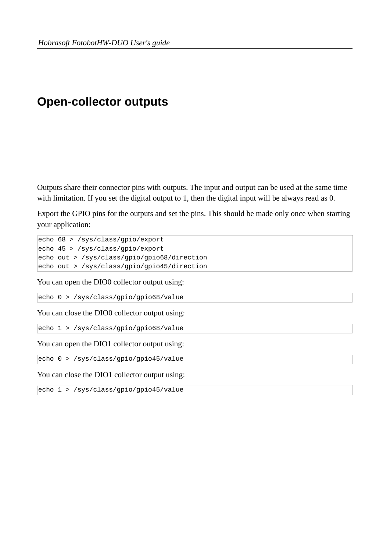# <span id="page-11-0"></span>**Open-collector outputs**

Outputs share their connector pins with outputs. The input and output can be used at the same time with limitation. If you set the digital output to 1, then the digital input will be always read as 0.

Export the GPIO pins for the outputs and set the pins. This should be made only once when starting your application:

echo 68 > /sys/class/gpio/export echo 45 > /sys/class/gpio/export echo out > /sys/class/gpio/gpio68/direction echo out > /sys/class/gpio/gpio45/direction You can open the DIO0 collector output using: echo 0 > /sys/class/gpio/gpio68/value You can close the DIO0 collector output using: echo 1 > /sys/class/gpio/gpio68/value You can open the DIO1 collector output using: echo 0 > /sys/class/gpio/gpio45/value You can close the DIO1 collector output using:

echo 1 > /sys/class/gpio/gpio45/value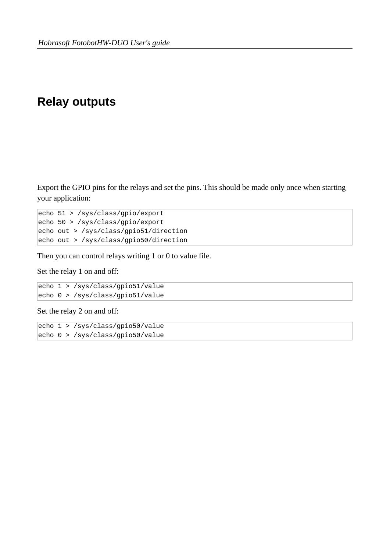## <span id="page-12-0"></span>**Relay outputs**

Export the GPIO pins for the relays and set the pins. This should be made only once when starting your application:

echo 51 > /sys/class/gpio/export echo 50 > /sys/class/gpio/export echo out > /sys/class/gpio51/direction echo out > /sys/class/gpio50/direction

Then you can control relays writing 1 or 0 to value file.

Set the relay 1 on and off:

echo 1 > /sys/class/gpio51/value echo 0 > /sys/class/gpio51/value

Set the relay 2 on and off:

echo 1 > /sys/class/gpio50/value echo 0 > /sys/class/gpio50/value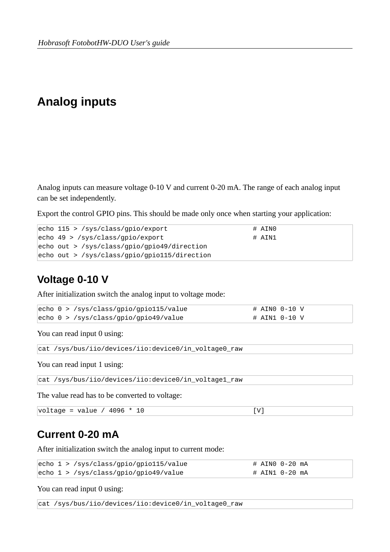# <span id="page-13-2"></span>**Analog inputs**

Analog inputs can measure voltage 0-10 V and current 0-20 mA. The range of each analog input can be set independently.

Export the control GPIO pins. This should be made only once when starting your application:

| echo $115 >$ /sys/class/gpio/export              | # AIN0   |
|--------------------------------------------------|----------|
| echo $49$ > /sys/class/gpio/export               | $#$ ATN1 |
| $ echo\ out  >$ /sys/class/gpio/gpio49/direction |          |
| echo out > /sys/class/gpio/gpio115/direction     |          |

## <span id="page-13-1"></span>**Voltage 0-10 V**

After initialization switch the analog input to voltage mode:

|  | echo $0$ > /sys/class/gpio/gpio115/value | # AIN0 0-10 V |
|--|------------------------------------------|---------------|
|  | echo 0 > /sys/class/gpio/gpio49/value    | # AIN1 0-10 V |

You can read input 0 using:

```
cat /sys/bus/iio/devices/iio:device0/in_voltage0_raw
```
You can read input 1 using:

cat /sys/bus/iio/devices/iio:device0/in\_voltage1\_raw

The value read has to be converted to voltage:

|  | $voltage = value / 4096 * 10$ |  |  |  |
|--|-------------------------------|--|--|--|
|--|-------------------------------|--|--|--|

#### <span id="page-13-0"></span>**Current 0-20 mA**

After initialization switch the analog input to current mode:

|  | echo $1 >$ /sys/class/gpio/gpio115/value |  | # AIN0 0-20 mA |
|--|------------------------------------------|--|----------------|
|  | echo $1 >$ /sys/class/gpio/gpio49/value  |  | # AIN1 0-20 mA |

You can read input 0 using:

cat /sys/bus/iio/devices/iio:device0/in\_voltage0\_raw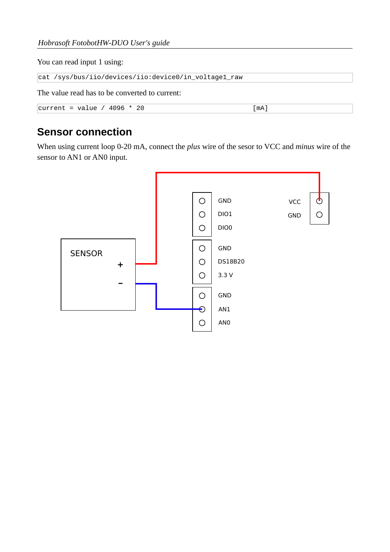You can read input 1 using:

cat /sys/bus/iio/devices/iio:device0/in\_voltage1\_raw

The value read has to be converted to current:

```
current = value / 4096 * 20[mA]
```
#### <span id="page-14-0"></span>**Sensor connection**

When using current loop 0-20 mA, connect the *plus* wire of the sesor to VCC and *minus* wire of the sensor to AN1 or AN0 input.

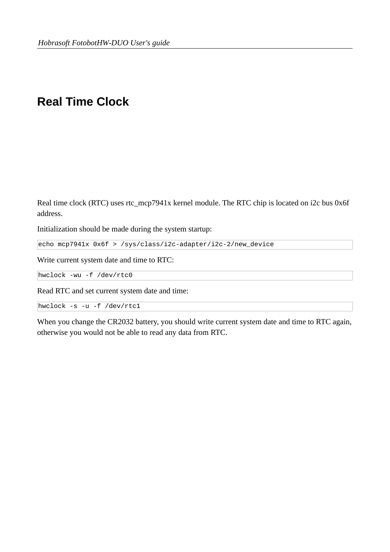## <span id="page-15-0"></span>**Real Time Clock**

Real time clock (RTC) uses rtc\_mcp7941x kernel module. The RTC chip is located on i2c bus 0x6f address.

Initialization should be made during the system startup:

echo mcp7941x 0x6f > /sys/class/i2c-adapter/i2c-2/new\_device

Write current system date and time to RTC:

hwclock -wu -f /dev/rtc0

Read RTC and set current system date and time:

hwclock -s -u -f /dev/rtc1

When you change the CR2032 battery, you should write current system date and time to RTC again, otherwise you would not be able to read any data from RTC.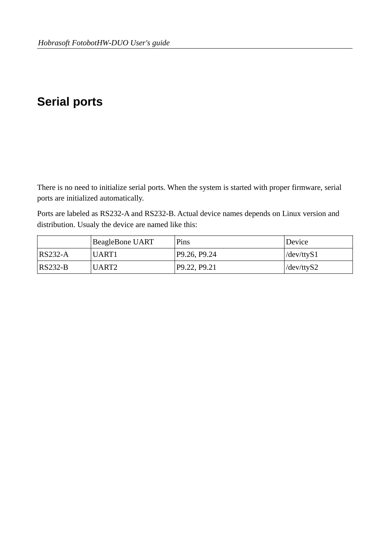# <span id="page-16-0"></span>**Serial ports**

There is no need to initialize serial ports. When the system is started with proper firmware, serial ports are initialized automatically.

Ports are labeled as RS232-A and RS232-B. Actual device names depends on Linux version and distribution. Usualy the device are named like this:

|           | BeagleBone UART | Pins         | Device                                         |
|-----------|-----------------|--------------|------------------------------------------------|
| $RS232-A$ | UART1           | P9.26, P9.24 | $\frac{\text{dev/} \text{ttyS1}}{\text{dev/}}$ |
| $RS232-B$ | UART2           | P9.22, P9.21 | /dev/ttyS2                                     |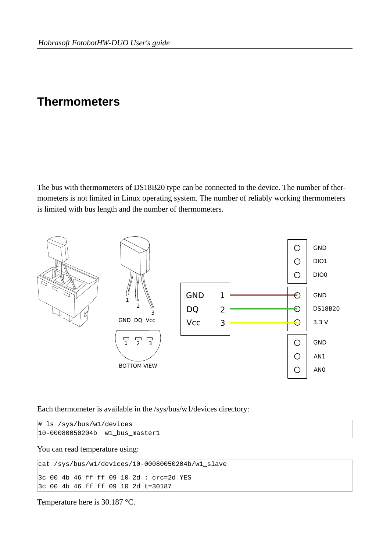## <span id="page-17-0"></span>**Thermometers**

The bus with thermometers of DS18B20 type can be connected to the device. The number of thermometers is not limited in Linux operating system. The number of reliably working thermometers is limited with bus length and the number of thermometers.



Each thermometer is available in the /sys/bus/w1/devices directory:

```
# ls /sys/bus/w1/devices
10-00080050204b w1_bus_master1
```
You can read temperature using:

```
cat /sys/bus/w1/devices/10-00080050204b/w1_slave
3c 00 4b 46 ff ff 09 10 2d : crc=2d YES 
3c 00 4b 46 ff ff 09 10 2d t=30187
```
Temperature here is 30.187 °C.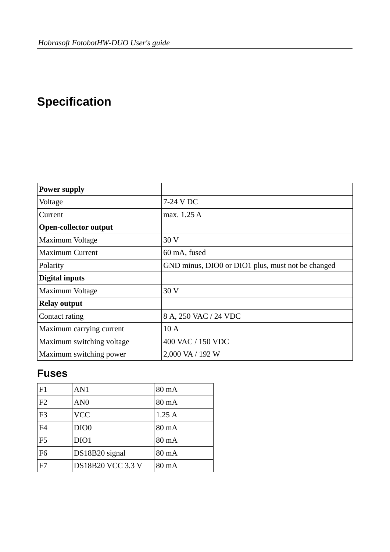# <span id="page-18-1"></span>**Specification**

| <b>Power supply</b>          |                                                   |
|------------------------------|---------------------------------------------------|
| Voltage                      | 7-24 V DC                                         |
| Current                      | max. 1.25 A                                       |
| <b>Open-collector output</b> |                                                   |
| Maximum Voltage              | 30 V                                              |
| <b>Maximum Current</b>       | 60 mA, fused                                      |
| Polarity                     | GND minus, DIO0 or DIO1 plus, must not be changed |
| <b>Digital inputs</b>        |                                                   |
| Maximum Voltage              | 30V                                               |
| <b>Relay output</b>          |                                                   |
| Contact rating               | 8 A, 250 VAC / 24 VDC                             |
| Maximum carrying current     | 10A                                               |
| Maximum switching voltage    | 400 VAC / 150 VDC                                 |
| Maximum switching power      | 2,000 VA / 192 W                                  |

## <span id="page-18-0"></span>**Fuses**

| F1             | AN <sub>1</sub>          | 80 mA           |
|----------------|--------------------------|-----------------|
| F <sub>2</sub> | AN <sub>0</sub>          | $80 \text{ mA}$ |
| F <sub>3</sub> | <b>VCC</b>               | 1.25A           |
| F4             | DIO <sub>0</sub>         | $80 \text{ mA}$ |
| F <sub>5</sub> | DIO1                     | $80 \text{ mA}$ |
| F <sub>6</sub> | DS18B20 signal           | $80 \text{ mA}$ |
| F7             | <b>DS18B20 VCC 3.3 V</b> | $80 \text{ mA}$ |